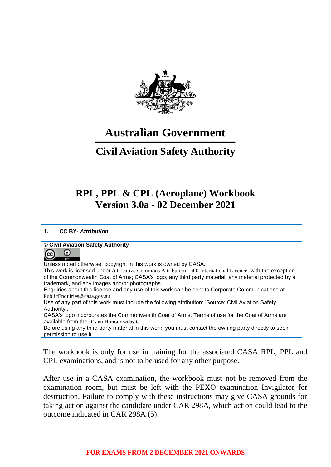

# **Australian Government**

## **Civil Aviation Safety Authority**

## **RPL, PPL & CPL (Aeroplane) Workbook Version 3.0a - 02 December 2021**

**1. CC BY-** *Attribution*

#### **© Civil Aviation Safety Authority**

#### $_{\odot}$ (cc

Unless noted otherwise, copyright in this work is owned by CASA.

This work is licensed under a [Creative Commons Attribution—4.0 International Licence](https://creativecommons.org/licenses/by/4.0/), with the exception of the Commonwealth Coat of Arms; CASA's logo; any third party material; any material protected by a trademark, and any images and/or photographs.

Enquiries about this licence and any use of this work can be sent to Corporate Communications at [PublicEnquiries@casa.gov.au.](mailto:PublicEnquiries@casa.gov.au)

Use of any part of this work must include the following attribution: 'Source: Civil Aviation Safety Authority'.

CASA's logo incorporates the Commonwealth Coat of Arms. Terms of use for the Coat of Arms are available from the [It's an Honour website](http://www.dpmc.gov.au/government/its-honour).

Before using any third party material in this work, you must contact the owning party directly to seek permission to use it.

The workbook is only for use in training for the associated CASA RPL, PPL and CPL examinations, and is not to be used for any other purpose.

After use in a CASA examination, the workbook must not be removed from the examination room, but must be left with the PEXO examination Invigilator for destruction. Failure to comply with these instructions may give CASA grounds for taking action against the candidate under CAR 298A, which action could lead to the outcome indicated in CAR 298A (5).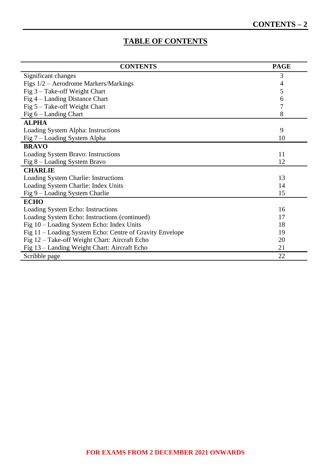## **TABLE OF CONTENTS**

| <b>CONTENTS</b>                                          | <b>PAGE</b> |
|----------------------------------------------------------|-------------|
| Significant changes                                      | 3           |
| Figs 1/2 – Aerodrome Markers/Markings                    | 4           |
| Fig 3 - Take-off Weight Chart                            | 5           |
| Fig 4 – Landing Distance Chart                           | 6           |
| Fig $5 -$ Take-off Weight Chart                          | 7           |
| Fig $6$ – Landing Chart                                  | 8           |
| <b>ALPHA</b>                                             |             |
| Loading System Alpha: Instructions                       | 9           |
| Fig 7 – Loading System Alpha                             | 10          |
| <b>BRAVO</b>                                             |             |
| Loading System Bravo: Instructions                       | 11          |
| Fig 8 – Loading System Bravo                             | 12          |
| <b>CHARLIE</b>                                           |             |
| Loading System Charlie: Instructions                     | 13          |
| Loading System Charlie: Index Units                      | 14          |
| Fig 9 – Loading System Charlie                           | 15          |
| <b>ECHO</b>                                              |             |
| Loading System Echo: Instructions                        | 16          |
| Loading System Echo: Instructions (continued)            | 17          |
| Fig 10 – Loading System Echo: Index Units                | 18          |
| Fig 11 – Loading System Echo: Centre of Gravity Envelope | 19          |
| Fig 12 – Take-off Weight Chart: Aircraft Echo            | 20          |
| Fig 13 – Landing Weight Chart: Aircraft Echo             | 21          |
| Scribble page                                            | 22          |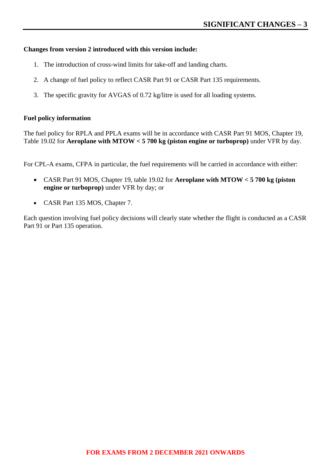#### **Changes from version 2 introduced with this version include:**

- 1. The introduction of cross-wind limits for take-off and landing charts.
- 2. A change of fuel policy to reflect CASR Part 91 or CASR Part 135 requirements.
- 3. The specific gravity for AVGAS of 0.72 kg/litre is used for all loading systems.

#### **Fuel policy information**

The fuel policy for RPLA and PPLA exams will be in accordance with CASR Part 91 MOS, Chapter 19, Table 19.02 for **Aeroplane with MTOW < 5 700 kg (piston engine or turboprop)** under VFR by day.

For CPL-A exams, CFPA in particular, the fuel requirements will be carried in accordance with either:

- CASR Part 91 MOS, Chapter 19, table 19.02 for **Aeroplane with MTOW < 5 700 kg (piston engine or turboprop)** under VFR by day; or
- CASR Part 135 MOS, Chapter 7.

Each question involving fuel policy decisions will clearly state whether the flight is conducted as a CASR Part 91 or Part 135 operation.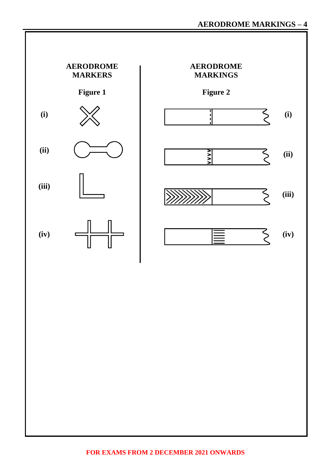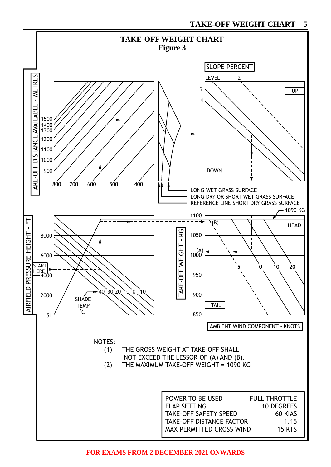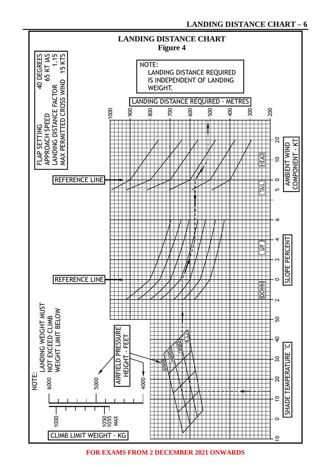

**FOR EXAMS FROM 2 DECEMBER 2021 ONWARDS**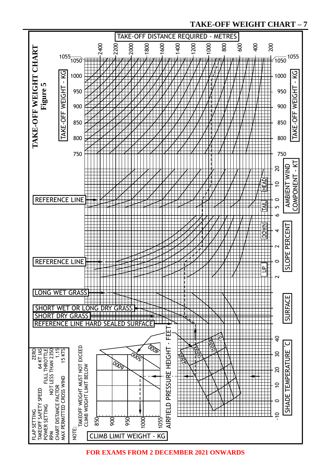#### **TAKE-OFF WEIGHT CHART – 7**

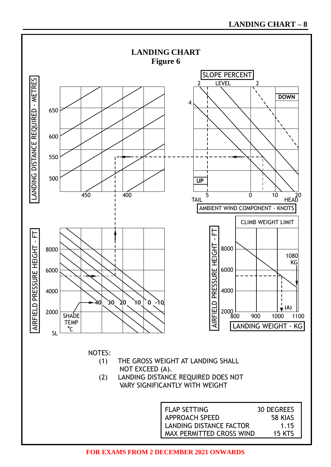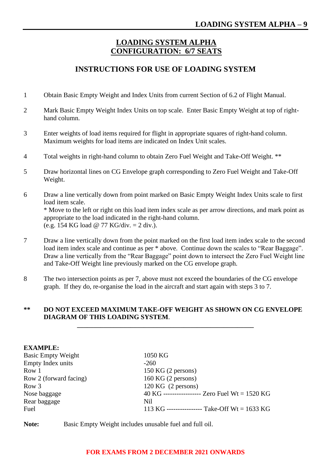## **LOADING SYSTEM ALPHA CONFIGURATION: 6/7 SEATS**

## **INSTRUCTIONS FOR USE OF LOADING SYSTEM**

- 1 Obtain Basic Empty Weight and Index Units from current Section of 6.2 of Flight Manual.
- 2 Mark Basic Empty Weight Index Units on top scale. Enter Basic Empty Weight at top of righthand column.
- 3 Enter weights of load items required for flight in appropriate squares of right-hand column. Maximum weights for load items are indicated on Index Unit scales.
- 4 Total weights in right-hand column to obtain Zero Fuel Weight and Take-Off Weight. \*\*
- 5 Draw horizontal lines on CG Envelope graph corresponding to Zero Fuel Weight and Take-Off Weight.
- 6 Draw a line vertically down from point marked on Basic Empty Weight Index Units scale to first load item scale. \* Move to the left or right on this load item index scale as per arrow directions, and mark point as appropriate to the load indicated in the right-hand column. (e.g. 154 KG load @ 77 KG/div. = 2 div.).
- 7 Draw a line vertically down from the point marked on the first load item index scale to the second load item index scale and continue as per  $*$  above. Continue down the scales to "Rear Baggage". Draw a line vertically from the "Rear Baggage" point down to intersect the Zero Fuel Weight line and Take-Off Weight line previously marked on the CG envelope graph.
- 8 The two intersection points as per 7, above must not exceed the boundaries of the CG envelope graph. If they do, re-organise the load in the aircraft and start again with steps 3 to 7.

#### **\*\* DO NOT EXCEED MAXIMUM TAKE-OFF WEIGHT AS SHOWN ON CG ENVELOPE DIAGRAM OF THIS LOADING SYSTEM**.

**\_\_\_\_\_\_\_\_\_\_\_\_\_\_\_\_\_\_\_\_\_\_\_\_\_\_\_\_\_\_\_\_\_\_\_\_\_\_\_\_\_\_\_\_\_\_\_\_\_\_\_\_\_**

| <b>EXAMPLE:</b>           |                                                |
|---------------------------|------------------------------------------------|
| <b>Basic Empty Weight</b> | 1050 KG                                        |
| Empty Index units         | $-260$                                         |
| Row 1                     | $150$ KG $(2$ persons)                         |
| Row 2 (forward facing)    | $160$ KG $(2$ persons)                         |
| Row 3                     | $120$ KG $(2$ persons)                         |
| Nose baggage              | 40 KG ----------------- Zero Fuel Wt = 1520 KG |
| Rear baggage              | Nil                                            |
| Fuel                      | 113 KG ----------------- Take-Off Wt = 1633 KG |
|                           |                                                |

**Note:** Basic Empty Weight includes unusable fuel and full oil.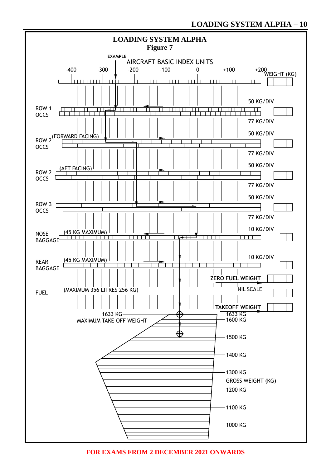

**FOR EXAMS FROM 2 DECEMBER 2021 ONWARDS**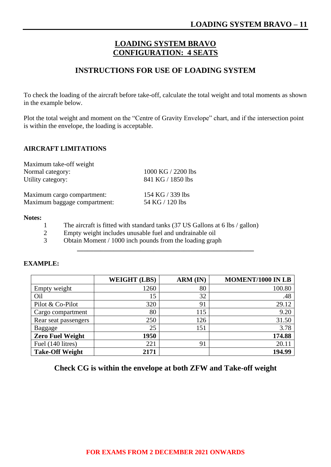## **LOADING SYSTEM BRAVO CONFIGURATION: 4 SEATS**

### **INSTRUCTIONS FOR USE OF LOADING SYSTEM**

To check the loading of the aircraft before take-off, calculate the total weight and total moments as shown in the example below.

Plot the total weight and moment on the "Centre of Gravity Envelope" chart, and if the intersection point is within the envelope, the loading is acceptable.

#### **AIRCRAFT LIMITATIONS**

| Maximum take-off weight<br>Normal category:<br>Utility category: | 1000 KG / 2200 lbs<br>841 KG / 1850 lbs |
|------------------------------------------------------------------|-----------------------------------------|
| Maximum cargo compartment:                                       | 154 KG / 339 lbs                        |
| Maximum baggage compartment:                                     | 54 KG / 120 lbs                         |

#### **Notes:**

- 1 The aircraft is fitted with standard tanks (37 US Gallons at 6 lbs / gallon)
- 2 Empty weight includes unusable fuel and undrainable oil<br>3 Obtain Moment / 1000 inch pounds from the loading grap
- Obtain Moment / 1000 inch pounds from the loading graph

|                         | <b>WEIGHT (LBS)</b> | $ARM$ (IN) | <b>MOMENT/1000 IN LB</b> |
|-------------------------|---------------------|------------|--------------------------|
| Empty weight            | 1260                | 80         | 100.80                   |
| Oil                     | 15                  | 32         | .48                      |
| Pilot & Co-Pilot        | 320                 | 91         | 29.12                    |
| Cargo compartment       | 80                  | 115        | 9.20                     |
| Rear seat passengers    | 250                 | 126        | 31.50                    |
| Baggage                 | 25                  | 151        | 3.78                     |
| <b>Zero Fuel Weight</b> | 1950                |            | 174.88                   |
| Fuel (140 litres)       | 221                 | 91         | 20.11                    |
| <b>Take-Off Weight</b>  | 2171                |            | 194.99                   |

**\_\_\_\_\_\_\_\_\_\_\_\_\_\_\_\_\_\_\_\_\_\_\_\_\_\_\_\_\_\_\_\_\_\_\_\_\_\_\_\_\_\_\_\_\_\_\_\_\_\_\_\_\_**

#### **EXAMPLE:**

#### **Check CG is within the envelope at both ZFW and Take-off weight**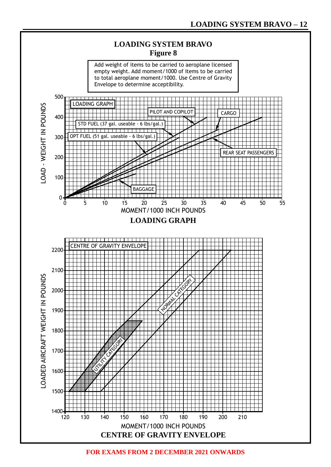

**FOR EXAMS FROM 2 DECEMBER 2021 ONWARDS**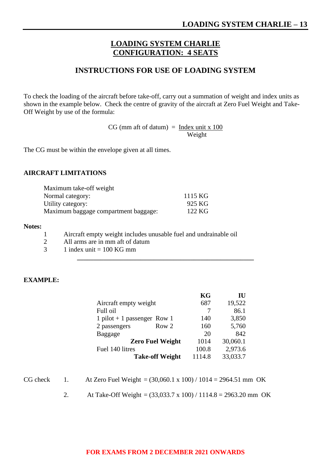## **LOADING SYSTEM CHARLIE CONFIGURATION: 4 SEATS**

#### **INSTRUCTIONS FOR USE OF LOADING SYSTEM**

To check the loading of the aircraft before take-off, carry out a summation of weight and index units as shown in the example below. Check the centre of gravity of the aircraft at Zero Fuel Weight and Take-Off Weight by use of the formula:

 $CG (mm$  aft of datum $) =$  Index unit x 100 **Example 2018** Service Structure of the Weight

The CG must be within the envelope given at all times.

#### **AIRCRAFT LIMITATIONS**

| Maximum take-off weight              |         |
|--------------------------------------|---------|
| Normal category:                     | 1115 KG |
| Utility category:                    | 925 KG  |
| Maximum baggage compartment baggage: | 122 KG  |

#### **Notes:**

- 1 Aircraft empty weight includes unusable fuel and undrainable oil
- 2 All arms are in mm aft of datum
- $3 \t1$  index unit = 100 KG mm

#### **EXAMPLE:**

| KG     | IU       |
|--------|----------|
| 687    | 19,522   |
| 7      | 86.1     |
| 140    | 3,850    |
| 160    | 5,760    |
| 20     | 842      |
| 1014   | 30,060.1 |
| 100.8  | 2,973.6  |
| 1114.8 | 33,033.7 |
|        |          |

**\_\_\_\_\_\_\_\_\_\_\_\_\_\_\_\_\_\_\_\_\_\_\_\_\_\_\_\_\_\_\_\_\_\_\_\_\_\_\_\_\_\_\_\_\_\_\_\_\_\_\_\_\_**

| CG check |  | At Zero Fuel Weight = $(30,060.1 \times 100) / 1014 = 2964.51$ mm OK |  |
|----------|--|----------------------------------------------------------------------|--|
|----------|--|----------------------------------------------------------------------|--|

2. At Take-Off Weight = (33,033.7 x 100) / 1114.8 = 2963.20 mm OK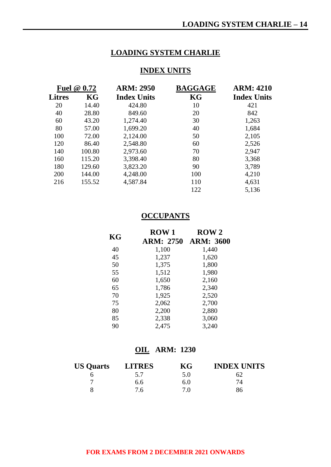## **LOADING SYSTEM CHARLIE**

### **INDEX UNITS**

|               | <b>Fuel @ 0.72</b> | <b>ARM: 2950</b>   | <b>BAGGAGE</b> | <b>ARM: 4210</b>   |
|---------------|--------------------|--------------------|----------------|--------------------|
| <b>Litres</b> | KG                 | <b>Index Units</b> | KG             | <b>Index Units</b> |
| 20            | 14.40              | 424.80             | 10             | 421                |
| 40            | 28.80              | 849.60             | 20             | 842                |
| 60            | 43.20              | 1,274.40           | 30             | 1,263              |
| 80            | 57.00              | 1,699.20           | 40             | 1,684              |
| 100           | 72.00              | 2,124.00           | 50             | 2,105              |
| 120           | 86.40              | 2,548.80           | 60             | 2,526              |
| 140           | 100.80             | 2,973.60           | 70             | 2,947              |
| 160           | 115.20             | 3,398.40           | 80             | 3,368              |
| 180           | 129.60             | 3,823.20           | 90             | 3,789              |
| 200           | 144.00             | 4,248.00           | 100            | 4,210              |
| 216           | 155.52             | 4,587.84           | 110            | 4,631              |
|               |                    |                    | 122            | 5,136              |

### **OCCUPANTS**

|    | <b>ROW1</b> | $\bf{ROW}$ 2     |
|----|-------------|------------------|
| KG | ARM: 2750   | <b>ARM: 3600</b> |
| 40 | 1,100       | 1,440            |
| 45 | 1,237       | 1,620            |
| 50 | 1,375       | 1,800            |
| 55 | 1,512       | 1,980            |
| 60 | 1,650       | 2,160            |
| 65 | 1,786       | 2,340            |
| 70 | 1,925       | 2,520            |
| 75 | 2,062       | 2,700            |
| 80 | 2,200       | 2,880            |
| 85 | 2,338       | 3,060            |
| 90 | 2,475       | 3,240            |

## **OIL ARM: 1230**

| <b>US Quarts</b> | <b>LITRES</b> | KG  | <b>INDEX UNITS</b> |
|------------------|---------------|-----|--------------------|
|                  | 5.7           | 5.0 |                    |
|                  | 6.6           | 6.0 | 74                 |
|                  | 7.6           | 7.0 | 86                 |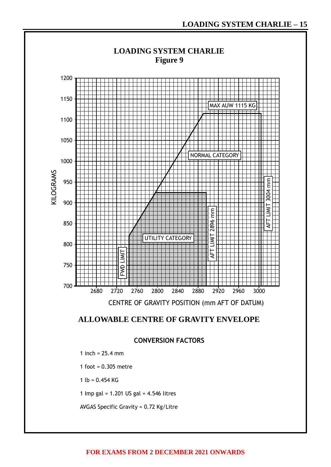



**CONVERSION FACTORS**

1 inch = 25.4 mm

1 foot = 0.305 metre

1 lb =  $0.454$  KG

1 Imp gal = 1.201 US gal = 4.546 litres

AVGAS Specific Gravity = 0.72 Kg/Litre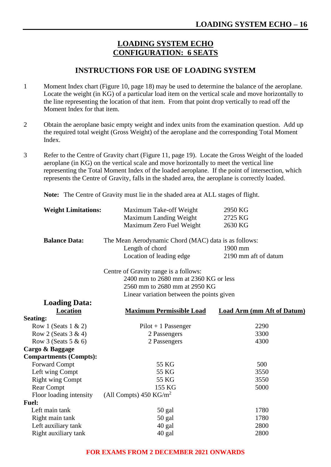## **LOADING SYSTEM ECHO CONFIGURATION: 6 SEATS**

### **INSTRUCTIONS FOR USE OF LOADING SYSTEM**

- 1 Moment Index chart (Figure 10, page 18) may be used to determine the balance of the aeroplane. Locate the weight (in KG) of a particular load item on the vertical scale and move horizontally to the line representing the location of that item. From that point drop vertically to read off the Moment Index for that item.
- 2 Obtain the aeroplane basic empty weight and index units from the examination question. Add up the required total weight (Gross Weight) of the aeroplane and the corresponding Total Moment Index.
- 3 Refer to the Centre of Gravity chart (Figure 11, page 19). Locate the Gross Weight of the loaded aeroplane (in KG) on the vertical scale and move horizontally to meet the vertical line representing the Total Moment Index of the loaded aeroplane. If the point of intersection, which represents the Centre of Gravity, falls in the shaded area, the aeroplane is correctly loaded.

**Note:** The Centre of Gravity must lie in the shaded area at ALL stages of flight.

| <b>Weight Limitations:</b>    | Maximum Take-off Weight                              | 2950 KG                           |
|-------------------------------|------------------------------------------------------|-----------------------------------|
|                               | Maximum Landing Weight                               | 2725 KG                           |
|                               | Maximum Zero Fuel Weight                             | 2630 KG                           |
|                               |                                                      |                                   |
| <b>Balance Data:</b>          | The Mean Aerodynamic Chord (MAC) data is as follows: |                                   |
|                               | Length of chord                                      | 1900 mm                           |
|                               | Location of leading edge                             | 2190 mm aft of datum              |
|                               | Centre of Gravity range is a follows:                |                                   |
|                               | 2400 mm to 2680 mm at 2360 KG or less                |                                   |
|                               | 2560 mm to 2680 mm at 2950 KG                        |                                   |
|                               | Linear variation between the points given            |                                   |
| <b>Loading Data:</b>          |                                                      |                                   |
| Location                      | <b>Maximum Permissible Load</b>                      | <b>Load Arm (mm Aft of Datum)</b> |
| <b>Seating:</b>               |                                                      |                                   |
| Row 1 (Seats $1 \& 2$ )       | $Pilot + 1$ Passenger                                | 2290                              |
| Row 2 (Seats $3 \& 4$ )       | 2 Passengers                                         | 3300                              |
| Row 3 (Seats $5 & 6$ )        | 2 Passengers                                         | 4300                              |
| Cargo & Baggage               |                                                      |                                   |
| <b>Compartments (Compts):</b> |                                                      |                                   |
| Forward Compt                 | 55 KG                                                | 500                               |
| Left wing Compt               | 55 KG                                                | 3550                              |
| <b>Right wing Compt</b>       | 55 KG                                                | 3550                              |
| <b>Rear Compt</b>             | 155 KG                                               | 5000                              |
| Floor loading intensity       | (All Compts) $450 \text{ KG/m}^2$                    |                                   |
| <b>Fuel:</b>                  |                                                      |                                   |
| Left main tank                | 50 gal                                               | 1780                              |
| Right main tank               | $50$ gal                                             | 1780                              |
| Left auxiliary tank           | 40 gal                                               | 2800                              |
| Right auxiliary tank          | 40 gal                                               | 2800                              |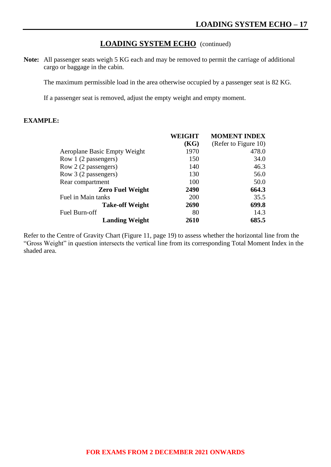### **LOADING SYSTEM ECHO** (continued)

**Note:** All passenger seats weigh 5 KG each and may be removed to permit the carriage of additional cargo or baggage in the cabin.

The maximum permissible load in the area otherwise occupied by a passenger seat is 82 KG.

If a passenger seat is removed, adjust the empty weight and empty moment.

#### **EXAMPLE:**

|                              | WEIGHT | <b>MOMENT INDEX</b>  |
|------------------------------|--------|----------------------|
|                              | (KG)   | (Refer to Figure 10) |
| Aeroplane Basic Empty Weight | 1970   | 478.0                |
| Row 1 (2 passengers)         | 150    | 34.0                 |
| Row 2 (2 passengers)         | 140    | 46.3                 |
| Row 3 (2 passengers)         | 130    | 56.0                 |
| Rear compartment             | 100    | 50.0                 |
| <b>Zero Fuel Weight</b>      | 2490   | 664.3                |
| Fuel in Main tanks           | 200    | 35.5                 |
| <b>Take-off Weight</b>       | 2690   | 699.8                |
| Fuel Burn-off                | 80     | 14.3                 |
| <b>Landing Weight</b>        | 2610   | 685.5                |

Refer to the Centre of Gravity Chart (Figure 11, page 19) to assess whether the horizontal line from the "Gross Weight" in question intersects the vertical line from its corresponding Total Moment Index in the shaded area.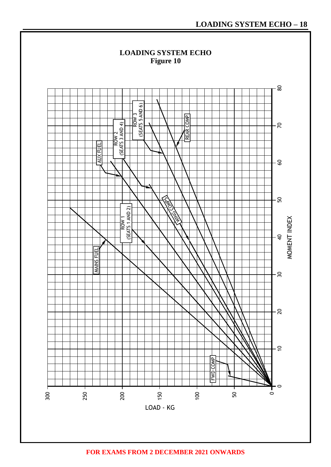

**FOR EXAMS FROM 2 DECEMBER 2021 ONWARDS**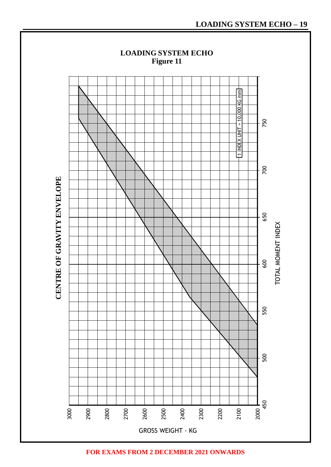

**FOR EXAMS FROM 2 DECEMBER 2021 ONWARDS**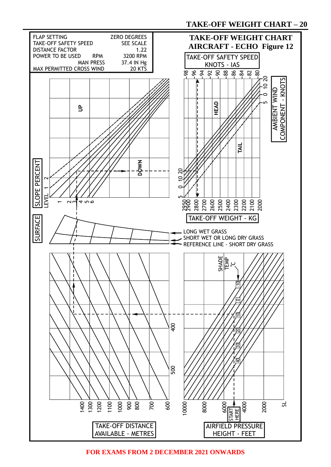

**FOR EXAMS FROM 2 DECEMBER 2021 ONWARDS**